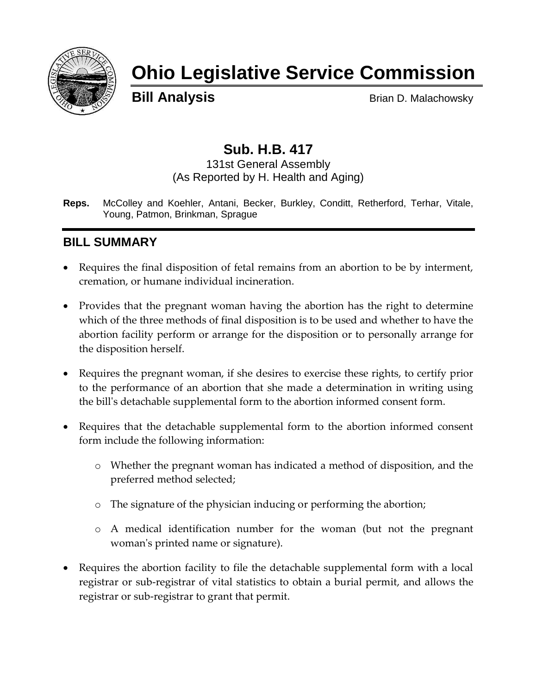

# **Ohio Legislative Service Commission**

**Bill Analysis** Brian D. Malachowsky

# **Sub. H.B. 417**

#### 131st General Assembly (As Reported by H. Health and Aging)

**Reps.** McColley and Koehler, Antani, Becker, Burkley, Conditt, Retherford, Terhar, Vitale, Young, Patmon, Brinkman, Sprague

# **BILL SUMMARY**

- Requires the final disposition of fetal remains from an abortion to be by interment, cremation, or humane individual incineration.
- Provides that the pregnant woman having the abortion has the right to determine which of the three methods of final disposition is to be used and whether to have the abortion facility perform or arrange for the disposition or to personally arrange for the disposition herself.
- Requires the pregnant woman, if she desires to exercise these rights, to certify prior to the performance of an abortion that she made a determination in writing using the bill's detachable supplemental form to the abortion informed consent form.
- Requires that the detachable supplemental form to the abortion informed consent form include the following information:
	- o Whether the pregnant woman has indicated a method of disposition, and the preferred method selected;
	- o The signature of the physician inducing or performing the abortion;
	- o A medical identification number for the woman (but not the pregnant woman's printed name or signature).
- Requires the abortion facility to file the detachable supplemental form with a local registrar or sub-registrar of vital statistics to obtain a burial permit, and allows the registrar or sub-registrar to grant that permit.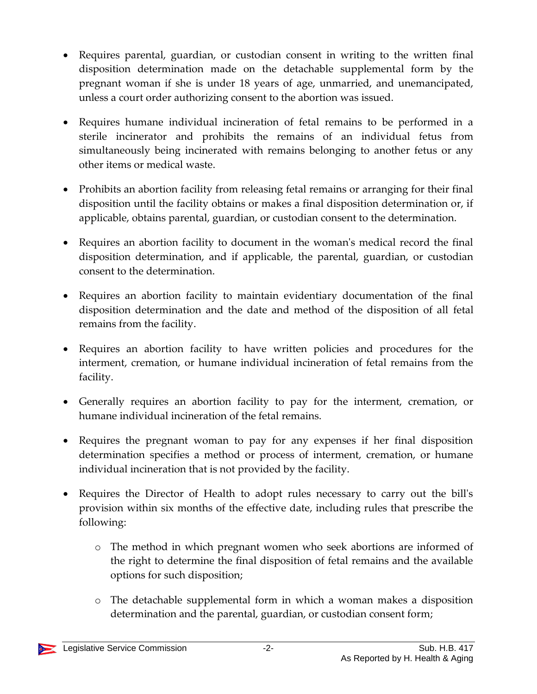- Requires parental, guardian, or custodian consent in writing to the written final disposition determination made on the detachable supplemental form by the pregnant woman if she is under 18 years of age, unmarried, and unemancipated, unless a court order authorizing consent to the abortion was issued.
- Requires humane individual incineration of fetal remains to be performed in a sterile incinerator and prohibits the remains of an individual fetus from simultaneously being incinerated with remains belonging to another fetus or any other items or medical waste.
- Prohibits an abortion facility from releasing fetal remains or arranging for their final disposition until the facility obtains or makes a final disposition determination or, if applicable, obtains parental, guardian, or custodian consent to the determination.
- Requires an abortion facility to document in the woman's medical record the final disposition determination, and if applicable, the parental, guardian, or custodian consent to the determination.
- Requires an abortion facility to maintain evidentiary documentation of the final disposition determination and the date and method of the disposition of all fetal remains from the facility.
- Requires an abortion facility to have written policies and procedures for the interment, cremation, or humane individual incineration of fetal remains from the facility.
- Generally requires an abortion facility to pay for the interment, cremation, or humane individual incineration of the fetal remains.
- Requires the pregnant woman to pay for any expenses if her final disposition determination specifies a method or process of interment, cremation, or humane individual incineration that is not provided by the facility.
- Requires the Director of Health to adopt rules necessary to carry out the bill's provision within six months of the effective date, including rules that prescribe the following:
	- o The method in which pregnant women who seek abortions are informed of the right to determine the final disposition of fetal remains and the available options for such disposition;
	- o The detachable supplemental form in which a woman makes a disposition determination and the parental, guardian, or custodian consent form;

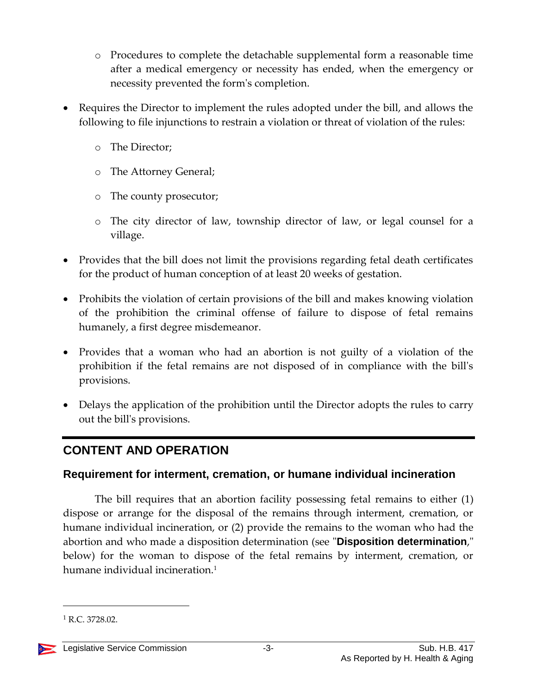- o Procedures to complete the detachable supplemental form a reasonable time after a medical emergency or necessity has ended, when the emergency or necessity prevented the form's completion.
- Requires the Director to implement the rules adopted under the bill, and allows the following to file injunctions to restrain a violation or threat of violation of the rules:
	- o The Director;
	- o The Attorney General;
	- o The county prosecutor;
	- o The city director of law, township director of law, or legal counsel for a village.
- Provides that the bill does not limit the provisions regarding fetal death certificates for the product of human conception of at least 20 weeks of gestation.
- Prohibits the violation of certain provisions of the bill and makes knowing violation of the prohibition the criminal offense of failure to dispose of fetal remains humanely, a first degree misdemeanor.
- Provides that a woman who had an abortion is not guilty of a violation of the prohibition if the fetal remains are not disposed of in compliance with the bill's provisions.
- Delays the application of the prohibition until the Director adopts the rules to carry out the bill's provisions.

# **CONTENT AND OPERATION**

# **Requirement for interment, cremation, or humane individual incineration**

The bill requires that an abortion facility possessing fetal remains to either (1) dispose or arrange for the disposal of the remains through interment, cremation, or humane individual incineration, or (2) provide the remains to the woman who had the abortion and who made a disposition determination (see "**Disposition determination**," below) for the woman to dispose of the fetal remains by interment, cremation, or humane individual incineration.<sup>1</sup>

 $1$  R.C. 3728.02.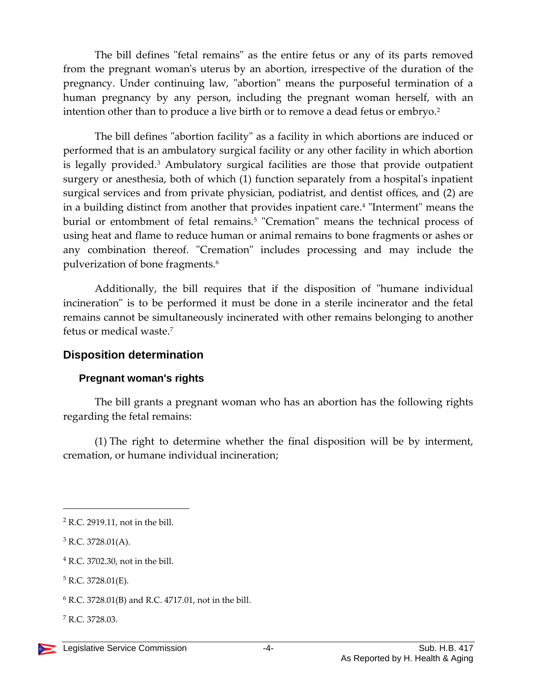The bill defines "fetal remains" as the entire fetus or any of its parts removed from the pregnant woman's uterus by an abortion, irrespective of the duration of the pregnancy. Under continuing law, "abortion" means the purposeful termination of a human pregnancy by any person, including the pregnant woman herself, with an intention other than to produce a live birth or to remove a dead fetus or embryo.<sup>2</sup>

The bill defines "abortion facility" as a facility in which abortions are induced or performed that is an ambulatory surgical facility or any other facility in which abortion is legally provided.<sup>3</sup> Ambulatory surgical facilities are those that provide outpatient surgery or anesthesia, both of which (1) function separately from a hospital's inpatient surgical services and from private physician, podiatrist, and dentist offices, and (2) are in a building distinct from another that provides inpatient care.<sup>4</sup> "Interment" means the burial or entombment of fetal remains.<sup>5</sup> "Cremation" means the technical process of using heat and flame to reduce human or animal remains to bone fragments or ashes or any combination thereof. "Cremation" includes processing and may include the pulverization of bone fragments.<sup>6</sup>

Additionally, the bill requires that if the disposition of "humane individual incineration" is to be performed it must be done in a sterile incinerator and the fetal remains cannot be simultaneously incinerated with other remains belonging to another fetus or medical waste $<sup>7</sup>$ </sup>

#### **Disposition determination**

#### **Pregnant woman's rights**

The bill grants a pregnant woman who has an abortion has the following rights regarding the fetal remains:

(1) The right to determine whether the final disposition will be by interment, cremation, or humane individual incineration;

<sup>2</sup> R.C. 2919.11, not in the bill.

 $3$  R.C. 3728.01(A).

<sup>4</sup> R.C. 3702.30, not in the bill.

 $5$  R.C. 3728.01(E).

 $6$  R.C. 3728.01(B) and R.C. 4717.01, not in the bill.

<sup>7</sup> R.C. 3728.03.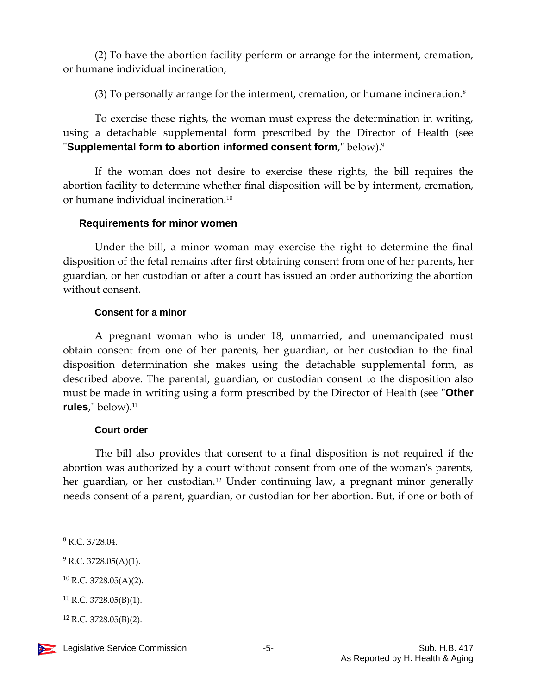(2) To have the abortion facility perform or arrange for the interment, cremation, or humane individual incineration;

(3) To personally arrange for the interment, cremation, or humane incineration.<sup>8</sup>

To exercise these rights, the woman must express the determination in writing, using a detachable supplemental form prescribed by the Director of Health (see "**Supplemental form to abortion informed consent form**," below).<sup>9</sup>

If the woman does not desire to exercise these rights, the bill requires the abortion facility to determine whether final disposition will be by interment, cremation, or humane individual incineration.<sup>10</sup>

#### **Requirements for minor women**

Under the bill, a minor woman may exercise the right to determine the final disposition of the fetal remains after first obtaining consent from one of her parents, her guardian, or her custodian or after a court has issued an order authorizing the abortion without consent.

#### **Consent for a minor**

A pregnant woman who is under 18, unmarried, and unemancipated must obtain consent from one of her parents, her guardian, or her custodian to the final disposition determination she makes using the detachable supplemental form, as described above. The parental, guardian, or custodian consent to the disposition also must be made in writing using a form prescribed by the Director of Health (see "**Other**  rules," below).<sup>11</sup>

#### **Court order**

The bill also provides that consent to a final disposition is not required if the abortion was authorized by a court without consent from one of the woman's parents, her guardian, or her custodian.<sup>12</sup> Under continuing law, a pregnant minor generally needs consent of a parent, guardian, or custodian for her abortion. But, if one or both of

 $9$  R.C. 3728.05(A)(1).

 $10$  R.C. 3728.05(A)(2).

 $12$  R.C. 3728.05(B)(2).



<sup>8</sup> R.C. 3728.04.

<sup>11</sup> R.C. 3728.05(B)(1).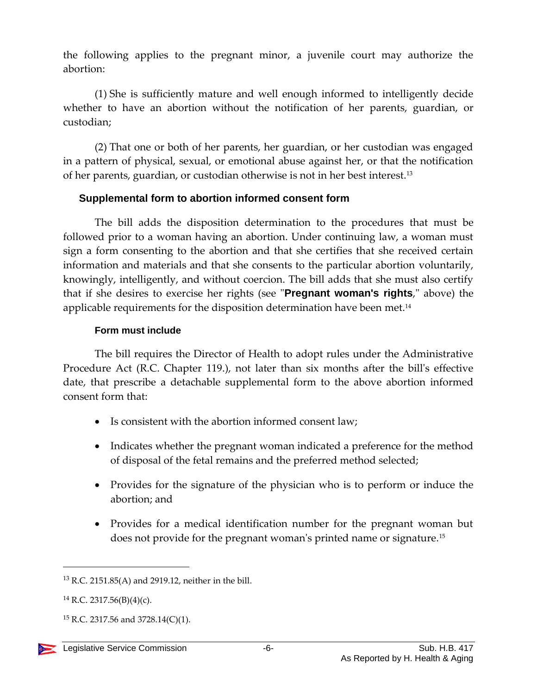the following applies to the pregnant minor, a juvenile court may authorize the abortion:

(1) She is sufficiently mature and well enough informed to intelligently decide whether to have an abortion without the notification of her parents, guardian, or custodian;

(2) That one or both of her parents, her guardian, or her custodian was engaged in a pattern of physical, sexual, or emotional abuse against her, or that the notification of her parents, guardian, or custodian otherwise is not in her best interest.<sup>13</sup>

### **Supplemental form to abortion informed consent form**

The bill adds the disposition determination to the procedures that must be followed prior to a woman having an abortion. Under continuing law, a woman must sign a form consenting to the abortion and that she certifies that she received certain information and materials and that she consents to the particular abortion voluntarily, knowingly, intelligently, and without coercion. The bill adds that she must also certify that if she desires to exercise her rights (see "**Pregnant woman's rights**," above) the applicable requirements for the disposition determination have been met.<sup>14</sup>

#### **Form must include**

The bill requires the Director of Health to adopt rules under the Administrative Procedure Act (R.C. Chapter 119.), not later than six months after the bill's effective date, that prescribe a detachable supplemental form to the above abortion informed consent form that:

- Is consistent with the abortion informed consent law;
- Indicates whether the pregnant woman indicated a preference for the method of disposal of the fetal remains and the preferred method selected;
- Provides for the signature of the physician who is to perform or induce the abortion; and
- Provides for a medical identification number for the pregnant woman but does not provide for the pregnant woman's printed name or signature.<sup>15</sup>

<sup>13</sup> R.C. 2151.85(A) and 2919.12, neither in the bill.

 $14$  R.C. 2317.56(B)(4)(c).

 $15$  R.C. 2317.56 and 3728.14(C)(1).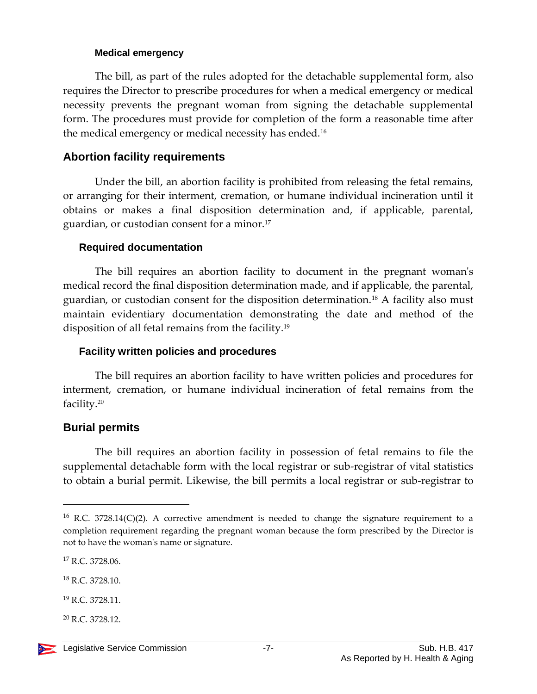#### **Medical emergency**

The bill, as part of the rules adopted for the detachable supplemental form, also requires the Director to prescribe procedures for when a medical emergency or medical necessity prevents the pregnant woman from signing the detachable supplemental form. The procedures must provide for completion of the form a reasonable time after the medical emergency or medical necessity has ended.<sup>16</sup>

## **Abortion facility requirements**

Under the bill, an abortion facility is prohibited from releasing the fetal remains, or arranging for their interment, cremation, or humane individual incineration until it obtains or makes a final disposition determination and, if applicable, parental, guardian, or custodian consent for a minor.<sup>17</sup>

#### **Required documentation**

The bill requires an abortion facility to document in the pregnant woman's medical record the final disposition determination made, and if applicable, the parental, guardian, or custodian consent for the disposition determination.<sup>18</sup> A facility also must maintain evidentiary documentation demonstrating the date and method of the disposition of all fetal remains from the facility.<sup>19</sup>

### **Facility written policies and procedures**

The bill requires an abortion facility to have written policies and procedures for interment, cremation, or humane individual incineration of fetal remains from the facility.<sup>20</sup>

### **Burial permits**

The bill requires an abortion facility in possession of fetal remains to file the supplemental detachable form with the local registrar or sub-registrar of vital statistics to obtain a burial permit. Likewise, the bill permits a local registrar or sub-registrar to

<sup>17</sup> R.C. 3728.06.

<sup>20</sup> R.C. 3728.12.



 $16$  R.C. 3728.14(C)(2). A corrective amendment is needed to change the signature requirement to a completion requirement regarding the pregnant woman because the form prescribed by the Director is not to have the woman's name or signature.

<sup>18</sup> R.C. 3728.10.

<sup>19</sup> R.C. 3728.11.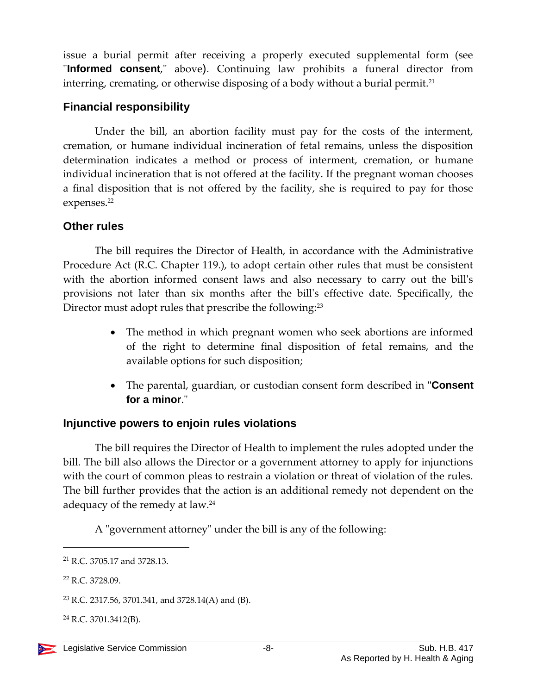issue a burial permit after receiving a properly executed supplemental form (see "**Informed consent**," above). Continuing law prohibits a funeral director from interring, cremating, or otherwise disposing of a body without a burial permit.<sup>21</sup>

## **Financial responsibility**

Under the bill, an abortion facility must pay for the costs of the interment, cremation, or humane individual incineration of fetal remains, unless the disposition determination indicates a method or process of interment, cremation, or humane individual incineration that is not offered at the facility. If the pregnant woman chooses a final disposition that is not offered by the facility, she is required to pay for those expenses.<sup>22</sup>

# **Other rules**

The bill requires the Director of Health, in accordance with the Administrative Procedure Act (R.C. Chapter 119.), to adopt certain other rules that must be consistent with the abortion informed consent laws and also necessary to carry out the bill's provisions not later than six months after the bill's effective date. Specifically, the Director must adopt rules that prescribe the following:<sup>23</sup>

- The method in which pregnant women who seek abortions are informed of the right to determine final disposition of fetal remains, and the available options for such disposition;
- The parental, guardian, or custodian consent form described in "**Consent for a minor**."

# **Injunctive powers to enjoin rules violations**

The bill requires the Director of Health to implement the rules adopted under the bill. The bill also allows the Director or a government attorney to apply for injunctions with the court of common pleas to restrain a violation or threat of violation of the rules. The bill further provides that the action is an additional remedy not dependent on the adequacy of the remedy at law.<sup>24</sup>

A "government attorney" under the bill is any of the following:

<sup>21</sup> R.C. 3705.17 and 3728.13.

<sup>22</sup> R.C. 3728.09.

<sup>&</sup>lt;sup>23</sup> R.C. 2317.56, 3701.341, and 3728.14(A) and (B).

 $^{24}$  R.C. 3701.3412(B).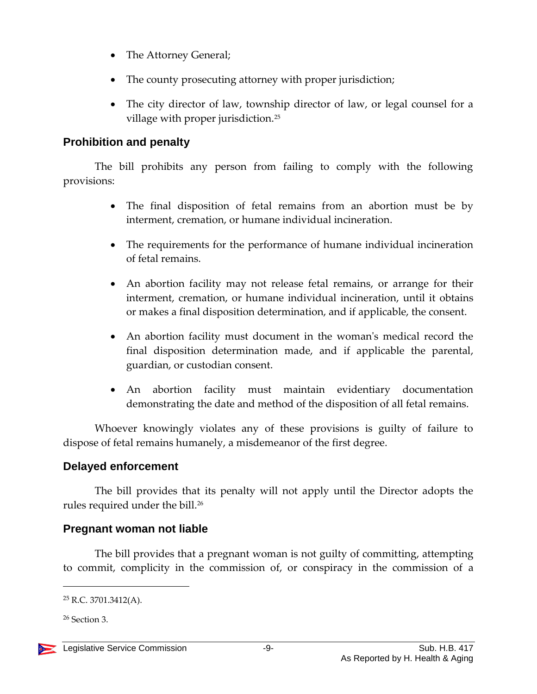- The Attorney General;
- The county prosecuting attorney with proper jurisdiction;
- The city director of law, township director of law, or legal counsel for a village with proper jurisdiction.<sup>25</sup>

# **Prohibition and penalty**

The bill prohibits any person from failing to comply with the following provisions:

- The final disposition of fetal remains from an abortion must be by interment, cremation, or humane individual incineration.
- The requirements for the performance of humane individual incineration of fetal remains.
- An abortion facility may not release fetal remains, or arrange for their interment, cremation, or humane individual incineration, until it obtains or makes a final disposition determination, and if applicable, the consent.
- An abortion facility must document in the woman's medical record the final disposition determination made, and if applicable the parental, guardian, or custodian consent.
- An abortion facility must maintain evidentiary documentation demonstrating the date and method of the disposition of all fetal remains.

Whoever knowingly violates any of these provisions is guilty of failure to dispose of fetal remains humanely, a misdemeanor of the first degree.

# **Delayed enforcement**

The bill provides that its penalty will not apply until the Director adopts the rules required under the bill. 26

# **Pregnant woman not liable**

The bill provides that a pregnant woman is not guilty of committing, attempting to commit, complicity in the commission of, or conspiracy in the commission of a

<sup>26</sup> Section 3.

 $25$  R.C. 3701.3412(A).